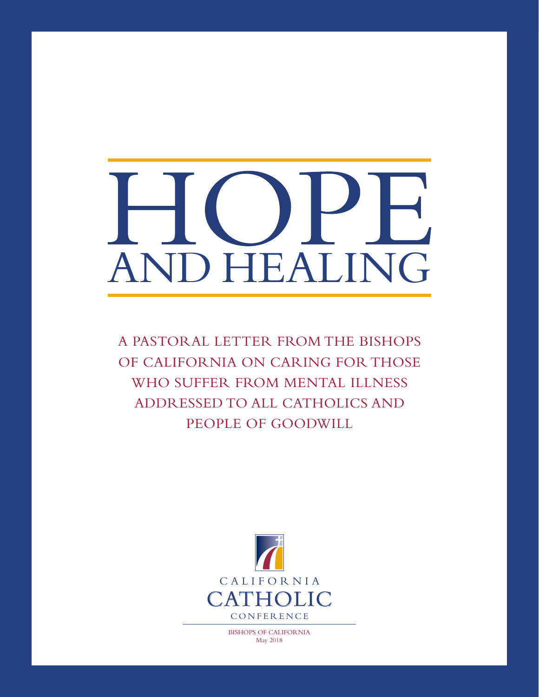

A PASTORAL LETTER FROM THE BISHOPS OF CALIFORNIA ON CARING FOR THOSE WHO SUFFER FROM MENTAL ILLNESS ADDRESSED TO ALL CATHOLICS AND PEOPLE OF GOODWILL



BISHOPS OF CALIFORNIA May 2018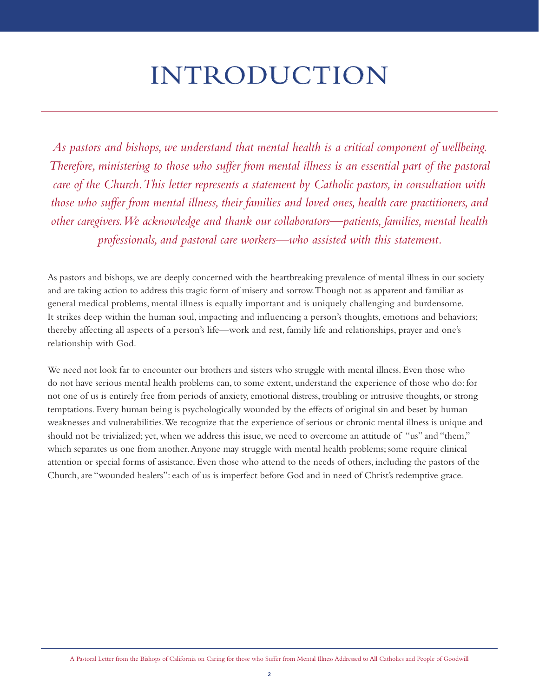# INTRODUCTION

*As pastors and bishops, we understand that mental health is a critical component of wellbeing. Therefore, ministering to those who suffer from mental illness is an essential part of the pastoral care of the Church. This letter represents a statement by Catholic pastors, in consultation with those who suffer from mental illness, their families and loved ones, health care practitioners, and other caregivers. We acknowledge and thank our collaborators—patients, families, mental health professionals, and pastoral care workers—who assisted with this statement.*

As pastors and bishops, we are deeply concerned with the heartbreaking prevalence of mental illness in our society and are taking action to address this tragic form of misery and sorrow. Though not as apparent and familiar as general medical problems, mental illness is equally important and is uniquely challenging and burdensome. It strikes deep within the human soul, impacting and influencing a person's thoughts, emotions and behaviors; thereby affecting all aspects of a person's life—work and rest, family life and relationships, prayer and one's relationship with God.

We need not look far to encounter our brothers and sisters who struggle with mental illness. Even those who do not have serious mental health problems can, to some extent, understand the experience of those who do: for not one of us is entirely free from periods of anxiety, emotional distress, troubling or intrusive thoughts, or strong temptations. Every human being is psychologically wounded by the effects of original sin and beset by human weaknesses and vulnerabilities. We recognize that the experience of serious or chronic mental illness is unique and should not be trivialized; yet, when we address this issue, we need to overcome an attitude of "us" and "them," which separates us one from another. Anyone may struggle with mental health problems; some require clinical attention or special forms of assistance. Even those who attend to the needs of others, including the pastors of the Church, are "wounded healers": each of us is imperfect before God and in need of Christ's redemptive grace.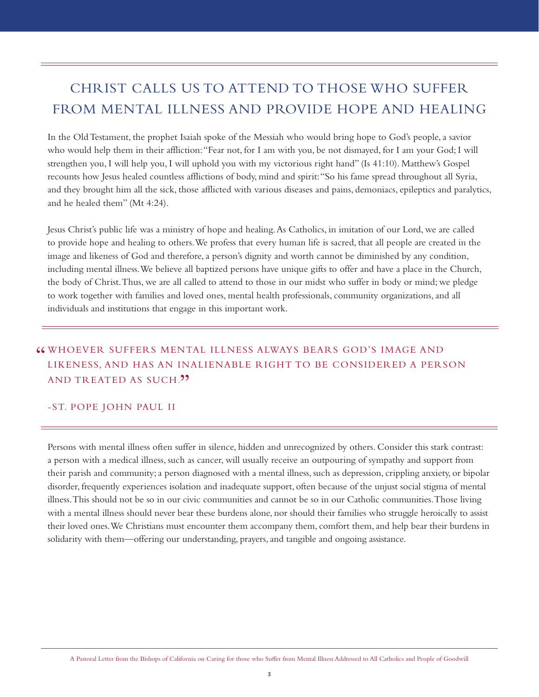#### CHRIST CALLS US TO ATTEND TO THOSE WHO SUFFER FROM MENTAL ILLNESS AND PROVIDE HOPE AND HEALING

In the Old Testament, the prophet Isaiah spoke of the Messiah who would bring hope to God's people, a savior who would help them in their affliction: "Fear not, for I am with you, be not dismayed, for I am your God; I will strengthen you, I will help you, I will uphold you with my victorious right hand" (Is 41:10). Matthew's Gospel recounts how Jesus healed countless afflictions of body, mind and spirit: "So his fame spread throughout all Syria, and they brought him all the sick, those afflicted with various diseases and pains, demoniacs, epileptics and paralytics, and he healed them" (Mt 4:24).

Jesus Christ's public life was a ministry of hope and healing. As Catholics, in imitation of our Lord, we are called to provide hope and healing to others. We profess that every human life is sacred, that all people are created in the image and likeness of God and therefore, a person's dignity and worth cannot be diminished by any condition, including mental illness. We believe all baptized persons have unique gifts to offer and have a place in the Church, the body of Christ. Thus, we are all called to attend to those in our midst who suffer in body or mind; we pledge to work together with families and loved ones, mental health professionals, community organizations, and all individuals and institutions that engage in this important work.

#### G WHOEVER SUFFERS MENTAL ILLNESS ALWAYS BEARS GOD'S IMAGE AND LIKENESS, AND HAS AN INALIENABLE RIGHT TO BE CONSIDERED A PERS LIKENESS, AND HAS AN INALIENABLE RIGHT TO BE CONSIDERED A PERSON AND TREATED AS SUCH.<sup>99</sup>

#### -ST. POPE JOHN PAUL II

Persons with mental illness often suffer in silence, hidden and unrecognized by others. Consider this stark contrast: a person with a medical illness, such as cancer, will usually receive an outpouring of sympathy and support from their parish and community; a person diagnosed with a mental illness, such as depression, crippling anxiety, or bipolar disorder, frequently experiences isolation and inadequate support, often because of the unjust social stigma of mental illness. This should not be so in our civic communities and cannot be so in our Catholic communities. Those living with a mental illness should never bear these burdens alone, nor should their families who struggle heroically to assist their loved ones. We Christians must encounter them accompany them, comfort them, and help bear their burdens in solidarity with them—offering our understanding, prayers, and tangible and ongoing assistance.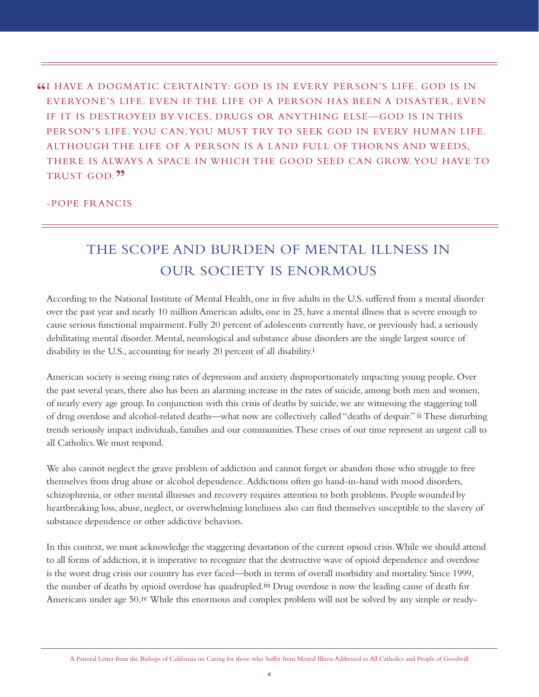GI HAVE A DOGMATIC CERTAINTY: GOD IS IN EVERY PERSON'S LIFE. GOD IS IN EVERYONE'S LIFE. EVEN IF THE LIFE OF A PERSON HAS BEEN A DISASTER, EVE EVERYONE'S LIFE. EVEN IF THE LIFE OF A PERSON HAS BEEN A DISASTER, EVEN IF IT IS DESTROYED BY VICES, DRUGS OR ANYTHING ELSE—GOD IS IN THIS PERSON'S LIFE. YOU CAN, YOU MUST TRY TO SEEK GOD IN EVERY HUMAN LIFE. ALTHOUGH THE LIFE OF A PERSON IS A LAND FULL OF THORNS AND WEEDS, THERE IS ALWAYS A SPACE IN WHICH THE GOOD SEED CAN GROW. YOU HAVE TO TRUST GOD. ''

-POPE FRANCIS

#### THE SCOPE AND BURDEN OF MENTAL ILLNESS IN OUR SOCIETY IS ENORMOUS

According to the National Institute of Mental Health, one in five adults in the U.S. suffered from a mental disorder over the past year and nearly 10 million American adults, one in 25, have a mental illness that is severe enough to cause serious functional impairment. Fully 20 percent of adolescents currently have, or previously had, a seriously debilitating mental disorder. Mental, neurological and substance abuse disorders are the single largest source of disability in the U.S., accounting for nearly 20 percent of all disability. i

American society is seeing rising rates of depression and anxiety disproportionately impacting young people. Over the past several years, there also has been an alarming increase in the rates of suicide, among both men and women, of nearly every age group. In conjunction with this crisis of deaths by suicide, we are witnessing the staggering toll of drug overdose and alcohol-related deaths—what now are collectively called "deaths of despair." ii These disturbing trends seriously impact individuals, families and our communities.These crises of our time represent an urgent call to all Catholics.We must respond.

We also cannot neglect the grave problem of addiction and cannot forget or abandon those who struggle to free themselves from drug abuse or alcohol dependence. Addictions often go hand-in-hand with mood disorders, schizophrenia, or other mental illnesses and recovery requires attention to both problems. People wounded by heartbreaking loss, abuse, neglect, or overwhelming loneliness also can find themselves susceptible to the slavery of substance dependence or other addictive behaviors.

In this context, we must acknowledge the staggering devastation of the current opioid crisis.While we should attend to all forms of addiction, it is imperative to recognize that the destructive wave of opioid dependence and overdose is the worst drug crisis our country has ever faced—both in terms of overall morbidity and mortality. Since 1999, the number of deaths by opioid overdose has quadrupled.iii Drug overdose is now the leading cause of death for Americans under age 50.<sup>iv</sup> While this enormous and complex problem will not be solved by any simple or ready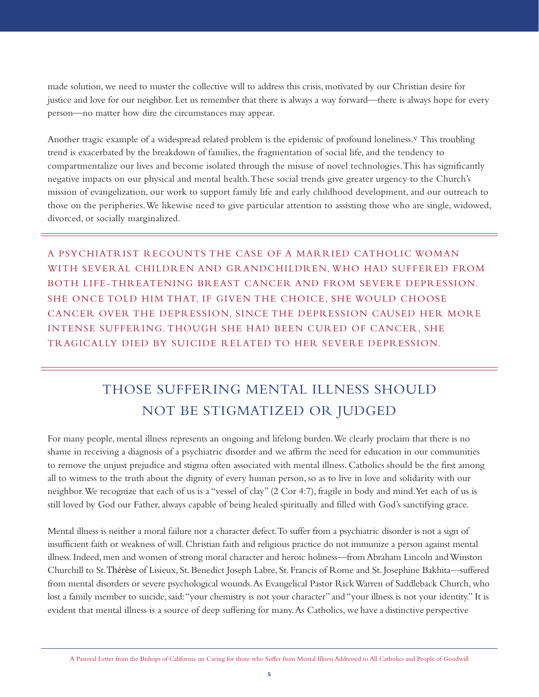made solution, we need to muster the collective will to address this crisis, motivated by our Christian desire for justice and love for our neighbor. Let us remember that there is always a way forward—there is always hope for every person—no matter how dire the circumstances may appear.

Another tragic example of a widespread related problem is the epidemic of profound loneliness.<sup>v</sup> This troubling trend is exacerbated by the breakdown of families, the fragmentation of social life, and the tendency to compartmentalize our lives and become isolated through the misuse of novel technologies. This has significantly negative impacts on our physical and mental health. These social trends give greater urgency to the Church's mission of evangelization, our work to support family life and early childhood development, and our outreach to those on the peripheries. We likewise need to give particular attention to assisting those who are single, widowed, divorced, or socially marginalized.

A PSYCHIATRIST RECOUNTS THE CASE OF A MARRIED CATHOLIC WOMAN WITH SEVERAL CHILDREN AND GRANDCHILDREN, WHO HAD SUFFERED FROM BOTH LIFE-THREATENING BREAST CANCER AND FROM SEVERE DEPRESSION. SHE ONCE TOLD HIM THAT, IF GIVEN THE CHOICE, SHE WOULD CHOOSE CANCER OVER THE DEPRESSION, SINCE THE DEPRESSION CAUSED HER MORE INTENSE SUFFERING. THOUGH SHE HAD BEEN CURED OF CANCER, SHE TRAGICALLY DIED BY SUICIDE RELATED TO HER SEVERE DEPRESSION.

### THOSE SUFFERING MENTAL ILLNESS SHOULD NOT BE STIGMATIZED OR JUDGED

For many people, mental illness represents an ongoing and lifelong burden. We clearly proclaim that there is no shame in receiving a diagnosis of a psychiatric disorder and we affirm the need for education in our communities to remove the unjust prejudice and stigma often associated with mental illness. Catholics should be the first among all to witness to the truth about the dignity of every human person, so as to live in love and solidarity with our neighbor. We recognize that each of us is a "vessel of clay" (2 Cor 4:7), fragile in body and mind. Yet each of us is still loved by God our Father, always capable of being healed spiritually and filled with God's sanctifying grace.

Mental illness is neither a moral failure nor a character defect.To suffer from a psychiatric disorder is not a sign of insufficient faith or weakness of will. Christian faith and religious practice do not immunize a person against mental illness. Indeed, men and women of strong moral character and heroic holiness—from Abraham Lincoln andWinston Churchill to St.Thérèse of Lisieux, St. Benedict Joseph Labre, St. Francis of Rome and St. Josephine Bakhita—suffered from mental disorders or severe psychological wounds.As Evangelical Pastor RickWarren of Saddleback Church, who lost a family member to suicide, said:"your chemistry is not your character" and "your illness is not your identity." It is evident that mental illness is a source of deep suffering for many. As Catholics, we have a distinctive perspective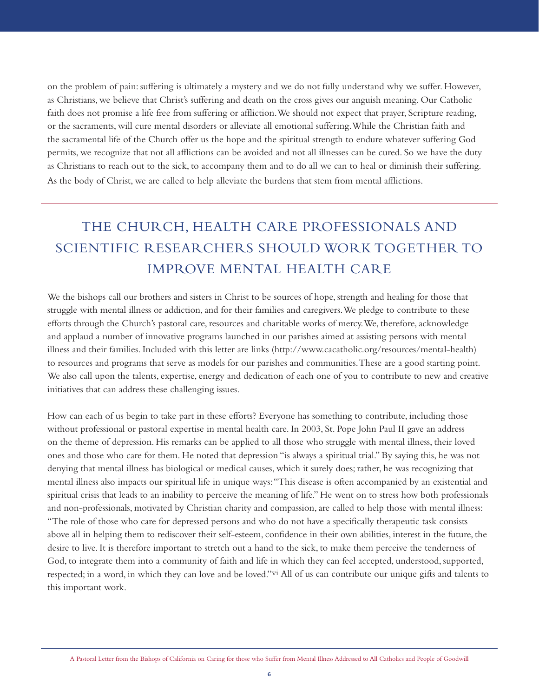on the problem of pain: suffering is ultimately a mystery and we do not fully understand why we suffer. However, as Christians, we believe that Christ's suffering and death on the cross gives our anguish meaning. Our Catholic faith does not promise a life free from suffering or affliction. We should not expect that prayer, Scripture reading, or the sacraments, will cure mental disorders or alleviate all emotional suffering. While the Christian faith and the sacramental life of the Church offer us the hope and the spiritual strength to endure whatever suffering God permits, we recognize that not all afflictions can be avoided and not all illnesses can be cured. So we have the duty as Christians to reach out to the sick, to accompany them and to do all we can to heal or diminish their suffering. As the body of Christ, we are called to help alleviate the burdens that stem from mental afflictions.

## THE CHURCH, HEALTH CARE PROFESSIONALS AND SCIENTIFIC RESEARCHERS SHOULD WORK TOGETHER TO IMPROVE MENTAL HEALTH CARE

We the bishops call our brothers and sisters in Christ to be sources of hope, strength and healing for those that struggle with mental illness or addiction, and for their families and caregivers. We pledge to contribute to these efforts through the Church's pastoral care, resources and charitable works of mercy. We, therefore, acknowledge and applaud a number of innovative programs launched in our parishes aimed at assisting persons with mental illness and their families. Included with this letter are links (http://www.cacatholic.org/resources/mental-health) to resources and programs that serve as models for our parishes and communities. These are a good starting point. We also call upon the talents, expertise, energy and dedication of each one of you to contribute to new and creative initiatives that can address these challenging issues.

How can each of us begin to take part in these efforts? Everyone has something to contribute, including those without professional or pastoral expertise in mental health care. In 2003, St. Pope John Paul II gave an address on the theme of depression. His remarks can be applied to all those who struggle with mental illness, their loved ones and those who care for them. He noted that depression "is always a spiritual trial." By saying this, he was not denying that mental illness has biological or medical causes, which it surely does; rather, he was recognizing that mental illness also impacts our spiritual life in unique ways: "This disease is often accompanied by an existential and spiritual crisis that leads to an inability to perceive the meaning of life." He went on to stress how both professionals and non-professionals, motivated by Christian charity and compassion, are called to help those with mental illness: "The role of those who care for depressed persons and who do not have a specifically therapeutic task consists above all in helping them to rediscover their self-esteem, confidence in their own abilities, interest in the future, the desire to live. It is therefore important to stretch out a hand to the sick, to make them perceive the tenderness of God, to integrate them into a community of faith and life in which they can feel accepted, understood, supported, respected; in a word, in which they can love and be loved."vi All of us can contribute our unique gifts and talents to this important work.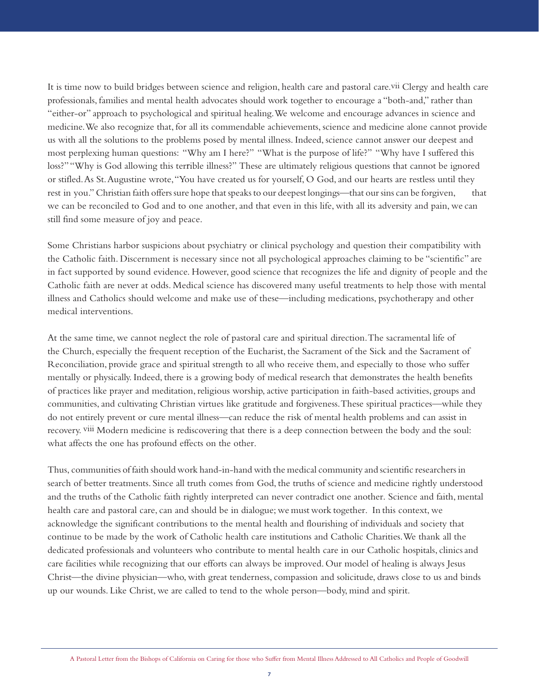It is time now to build bridges between science and religion, health care and pastoral care.vii Clergy and health care professionals, families and mental health advocates should work together to encourage a "both-and," rather than "either-or" approach to psychological and spiritual healing. We welcome and encourage advances in science and medicine. We also recognize that, for all its commendable achievements, science and medicine alone cannot provide us with all the solutions to the problems posed by mental illness. Indeed, science cannot answer our deepest and most perplexing human questions: "Why am I here?" "What is the purpose of life?" "Why have I suffered this loss?" "Why is God allowing this terrible illness?" These are ultimately religious questions that cannot be ignored or stifled. As St. Augustine wrote, "You have created us for yourself, O God, and our hearts are restless until they rest in you." Christian faith offers sure hope that speaks to our deepest longings—that our sins can be forgiven, that we can be reconciled to God and to one another, and that even in this life, with all its adversity and pain, we can still find some measure of joy and peace.

Some Christians harbor suspicions about psychiatry or clinical psychology and question their compatibility with the Catholic faith. Discernment is necessary since not all psychological approaches claiming to be "scientific" are in fact supported by sound evidence. However, good science that recognizes the life and dignity of people and the Catholic faith are never at odds. Medical science has discovered many useful treatments to help those with mental illness and Catholics should welcome and make use of these—including medications, psychotherapy and other medical interventions.

At the same time, we cannot neglect the role of pastoral care and spiritual direction. The sacramental life of the Church, especially the frequent reception of the Eucharist, the Sacrament of the Sick and the Sacrament of Reconciliation, provide grace and spiritual strength to all who receive them, and especially to those who suffer mentally or physically. Indeed, there is a growing body of medical research that demonstrates the health benefits of practices like prayer and meditation, religious worship, active participation in faith-based activities, groups and communities, and cultivating Christian virtues like gratitude and forgiveness. These spiritual practices—while they do not entirely prevent or cure mental illness—can reduce the risk of mental health problems and can assist in recovery. viii Modern medicine is rediscovering that there is a deep connection between the body and the soul: what affects the one has profound effects on the other.

Thus, communities of faith should work hand-in-hand with the medical community and scientific researchers in search of better treatments. Since all truth comes from God, the truths of science and medicine rightly understood and the truths of the Catholic faith rightly interpreted can never contradict one another. Science and faith, mental health care and pastoral care, can and should be in dialogue; we must work together. In this context, we acknowledge the significant contributions to the mental health and flourishing of individuals and society that continue to be made by the work of Catholic health care institutions and Catholic Charities. We thank all the dedicated professionals and volunteers who contribute to mental health care in our Catholic hospitals, clinics and care facilities while recognizing that our efforts can always be improved. Our model of healing is always Jesus Christ—the divine physician—who, with great tenderness, compassion and solicitude, draws close to us and binds up our wounds. Like Christ, we are called to tend to the whole person—body, mind and spirit.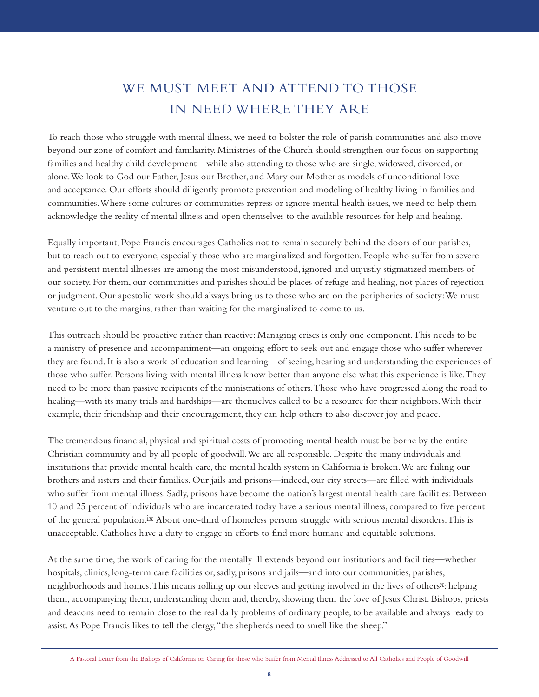### WE MUST MEET AND ATTEND TO THOSE IN NEED WHERE THEY ARE

To reach those who struggle with mental illness, we need to bolster the role of parish communities and also move beyond our zone of comfort and familiarity. Ministries of the Church should strengthen our focus on supporting families and healthy child development—while also attending to those who are single, widowed, divorced, or alone. We look to God our Father, Jesus our Brother, and Mary our Mother as models of unconditional love and acceptance. Our efforts should diligently promote prevention and modeling of healthy living in families and communities. Where some cultures or communities repress or ignore mental health issues, we need to help them acknowledge the reality of mental illness and open themselves to the available resources for help and healing.

Equally important, Pope Francis encourages Catholics not to remain securely behind the doors of our parishes, but to reach out to everyone, especially those who are marginalized and forgotten. People who suffer from severe and persistent mental illnesses are among the most misunderstood, ignored and unjustly stigmatized members of our society. For them, our communities and parishes should be places of refuge and healing, not places of rejection or judgment. Our apostolic work should always bring us to those who are on the peripheries of society: We must venture out to the margins, rather than waiting for the marginalized to come to us.

This outreach should be proactive rather than reactive: Managing crises is only one component. This needs to be a ministry of presence and accompaniment—an ongoing effort to seek out and engage those who suffer wherever they are found. It is also a work of education and learning—of seeing, hearing and understanding the experiences of those who suffer. Persons living with mental illness know better than anyone else what this experience is like. They need to be more than passive recipients of the ministrations of others. Those who have progressed along the road to healing—with its many trials and hardships—are themselves called to be a resource for their neighbors. With their example, their friendship and their encouragement, they can help others to also discover joy and peace.

The tremendous financial, physical and spiritual costs of promoting mental health must be borne by the entire Christian community and by all people of goodwill. We are all responsible. Despite the many individuals and institutions that provide mental health care, the mental health system in California is broken. We are failing our brothers and sisters and their families. Our jails and prisons—indeed, our city streets—are filled with individuals who suffer from mental illness. Sadly, prisons have become the nation's largest mental health care facilities: Between 10 and 25 percent of individuals who are incarcerated today have a serious mental illness, compared to five percent of the general population.ix About one-third of homeless persons struggle with serious mental disorders. This is unacceptable. Catholics have a duty to engage in efforts to find more humane and equitable solutions.

At the same time, the work of caring for the mentally ill extends beyond our institutions and facilities—whether hospitals, clinics, long-term care facilities or, sadly, prisons and jails—and into our communities, parishes, neighborhoods and homes. This means rolling up our sleeves and getting involved in the lives of othersx: helping them, accompanying them, understanding them and, thereby, showing them the love of Jesus Christ. Bishops, priests and deacons need to remain close to the real daily problems of ordinary people, to be available and always ready to assist. As Pope Francis likes to tell the clergy, "the shepherds need to smell like the sheep."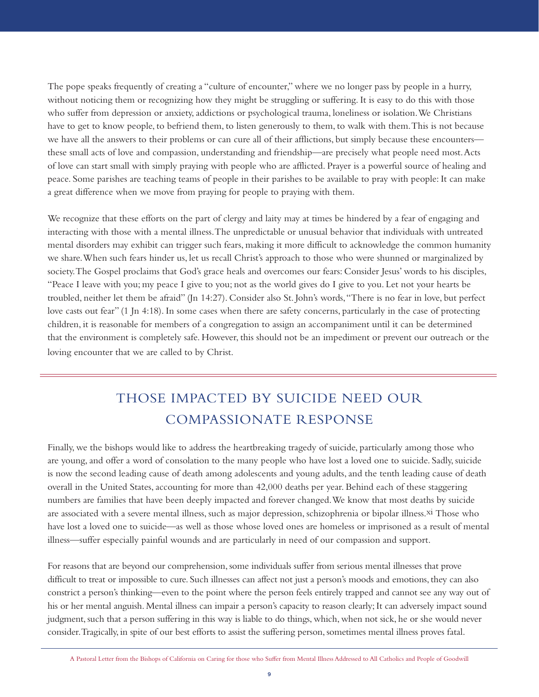The pope speaks frequently of creating a "culture of encounter," where we no longer pass by people in a hurry, without noticing them or recognizing how they might be struggling or suffering. It is easy to do this with those who suffer from depression or anxiety, addictions or psychological trauma, loneliness or isolation. We Christians have to get to know people, to befriend them, to listen generously to them, to walk with them. This is not because we have all the answers to their problems or can cure all of their afflictions, but simply because these encounters these small acts of love and compassion, understanding and friendship—are precisely what people need most. Acts of love can start small with simply praying with people who are afflicted. Prayer is a powerful source of healing and peace. Some parishes are teaching teams of people in their parishes to be available to pray with people: It can make a great difference when we move from praying for people to praying with them.

We recognize that these efforts on the part of clergy and laity may at times be hindered by a fear of engaging and interacting with those with a mental illness. The unpredictable or unusual behavior that individuals with untreated mental disorders may exhibit can trigger such fears, making it more difficult to acknowledge the common humanity we share. When such fears hinder us, let us recall Christ's approach to those who were shunned or marginalized by society. The Gospel proclaims that God's grace heals and overcomes our fears: Consider Jesus' words to his disciples, "Peace I leave with you; my peace I give to you; not as the world gives do I give to you. Let not your hearts be troubled, neither let them be afraid" (Jn 14:27). Consider also St. John's words, "There is no fear in love, but perfect love casts out fear" (1 Jn 4:18). In some cases when there are safety concerns, particularly in the case of protecting children, it is reasonable for members of a congregation to assign an accompaniment until it can be determined that the environment is completely safe. However, this should not be an impediment or prevent our outreach or the loving encounter that we are called to by Christ.

#### THOSE IMPACTED BY SUICIDE NEED OUR COMPASSIONATE RESPONSE

Finally, we the bishops would like to address the heartbreaking tragedy of suicide, particularly among those who are young, and offer a word of consolation to the many people who have lost a loved one to suicide. Sadly, suicide is now the second leading cause of death among adolescents and young adults, and the tenth leading cause of death overall in the United States, accounting for more than 42,000 deaths per year. Behind each of these staggering numbers are families that have been deeply impacted and forever changed. We know that most deaths by suicide are associated with a severe mental illness, such as major depression, schizophrenia or bipolar illness.xi Those who have lost a loved one to suicide—as well as those whose loved ones are homeless or imprisoned as a result of mental illness—suffer especially painful wounds and are particularly in need of our compassion and support.

For reasons that are beyond our comprehension, some individuals suffer from serious mental illnesses that prove difficult to treat or impossible to cure. Such illnesses can affect not just a person's moods and emotions, they can also constrict a person's thinking—even to the point where the person feels entirely trapped and cannot see any way out of his or her mental anguish. Mental illness can impair a person's capacity to reason clearly; It can adversely impact sound judgment, such that a person suffering in this way is liable to do things, which, when not sick, he or she would never consider. Tragically, in spite of our best efforts to assist the suffering person, sometimes mental illness proves fatal.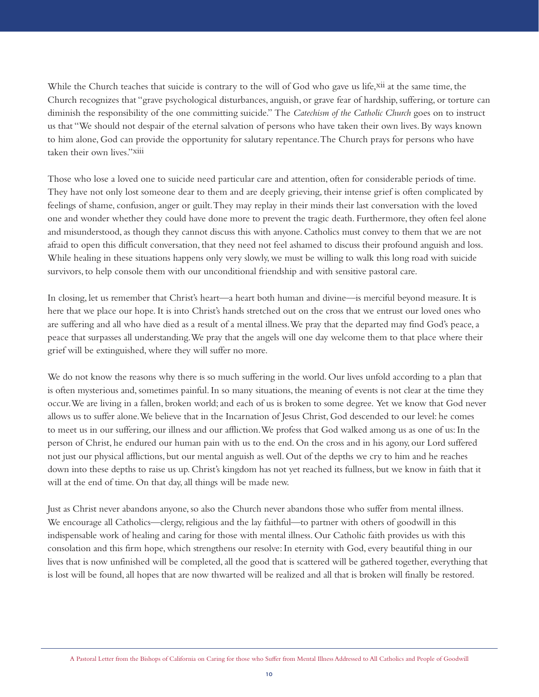While the Church teaches that suicide is contrary to the will of God who gave us life, xii at the same time, the Church recognizes that "grave psychological disturbances, anguish, or grave fear of hardship, suffering, or torture can diminish the responsibility of the one committing suicide." The *Catechism of the Catholic Church* goes on to instruct us that "We should not despair of the eternal salvation of persons who have taken their own lives. By ways known to him alone, God can provide the opportunity for salutary repentance. The Church prays for persons who have taken their own lives."xiii

Those who lose a loved one to suicide need particular care and attention, often for considerable periods of time. They have not only lost someone dear to them and are deeply grieving, their intense grief is often complicated by feelings of shame, confusion, anger or guilt. They may replay in their minds their last conversation with the loved one and wonder whether they could have done more to prevent the tragic death. Furthermore, they often feel alone and misunderstood, as though they cannot discuss this with anyone. Catholics must convey to them that we are not afraid to open this difficult conversation, that they need not feel ashamed to discuss their profound anguish and loss. While healing in these situations happens only very slowly, we must be willing to walk this long road with suicide survivors, to help console them with our unconditional friendship and with sensitive pastoral care.

In closing, let us remember that Christ's heart—a heart both human and divine—is merciful beyond measure. It is here that we place our hope. It is into Christ's hands stretched out on the cross that we entrust our loved ones who are suffering and all who have died as a result of a mental illness. We pray that the departed may find God's peace, a peace that surpasses all understanding. We pray that the angels will one day welcome them to that place where their grief will be extinguished, where they will suffer no more.

We do not know the reasons why there is so much suffering in the world. Our lives unfold according to a plan that is often mysterious and, sometimes painful. In so many situations, the meaning of events is not clear at the time they occur. We are living in a fallen, broken world; and each of us is broken to some degree. Yet we know that God never allows us to suffer alone. We believe that in the Incarnation of Jesus Christ, God descended to our level: he comes to meet us in our suffering, our illness and our affliction. We profess that God walked among us as one of us: In the person of Christ, he endured our human pain with us to the end. On the cross and in his agony, our Lord suffered not just our physical afflictions, but our mental anguish as well. Out of the depths we cry to him and he reaches down into these depths to raise us up. Christ's kingdom has not yet reached its fullness, but we know in faith that it will at the end of time. On that day, all things will be made new.

Just as Christ never abandons anyone, so also the Church never abandons those who suffer from mental illness. We encourage all Catholics—clergy, religious and the lay faithful—to partner with others of goodwill in this indispensable work of healing and caring for those with mental illness. Our Catholic faith provides us with this consolation and this firm hope, which strengthens our resolve: In eternity with God, every beautiful thing in our lives that is now unfinished will be completed, all the good that is scattered will be gathered together, everything that is lost will be found, all hopes that are now thwarted will be realized and all that is broken will finally be restored.